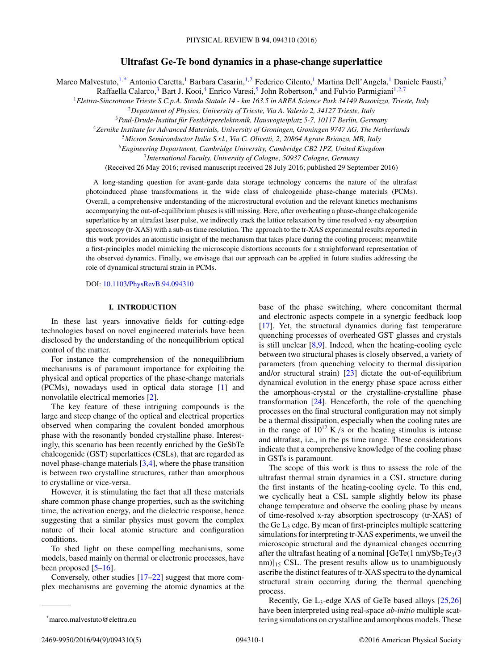# **Ultrafast Ge-Te bond dynamics in a phase-change superlattice**

Marco Malvestuto,<sup>1,\*</sup> Antonio Caretta,<sup>1</sup> Barbara Casarin,<sup>1,2</sup> Federico Cilento,<sup>1</sup> Martina Dell'Angela,<sup>1</sup> Daniele Fausti,<sup>2</sup>

Raffaella Calarco,<sup>3</sup> Bart J. Kooi,<sup>4</sup> Enrico Varesi,<sup>5</sup> John Robertson,<sup>6</sup> and Fulvio Parmigiani<sup>1,2,7</sup>

<sup>1</sup>*Elettra-Sincrotrone Trieste S.C.p.A. Strada Statale 14 - km 163.5 in AREA Science Park 34149 Basovizza, Trieste, Italy*

<sup>2</sup>*Department of Physics, University of Trieste, Via A. Valerio 2, 34127 Trieste, Italy*

<sup>3</sup>*Paul-Drude-Institut fur Festk ¨ orperelektronik, Hausvogteiplatz 5-7, 10117 Berlin, Germany ¨*

<sup>4</sup>*Zernike Institute for Advanced Materials, University of Groningen, Groningen 9747 AG, The Netherlands*

<sup>5</sup>*Micron Semiconductor Italia S.r.l., Via C. Olivetti, 2, 20864 Agrate Brianza, MB, Italy*

<sup>6</sup>*Engineering Department, Cambridge University, Cambridge CB2 1PZ, United Kingdom*

<sup>7</sup>*International Faculty, University of Cologne, 50937 Cologne, Germany*

(Received 26 May 2016; revised manuscript received 28 July 2016; published 29 September 2016)

A long-standing question for avant-garde data storage technology concerns the nature of the ultrafast photoinduced phase transformations in the wide class of chalcogenide phase-change materials (PCMs). Overall, a comprehensive understanding of the microstructural evolution and the relevant kinetics mechanisms accompanying the out-of-equilibrium phases is still missing. Here, after overheating a phase-change chalcogenide superlattice by an ultrafast laser pulse, we indirectly track the lattice relaxation by time resolved x-ray absorption spectroscopy (tr-XAS) with a sub-ns time resolution. The approach to the tr-XAS experimental results reported in this work provides an atomistic insight of the mechanism that takes place during the cooling process; meanwhile a first-principles model mimicking the microscopic distortions accounts for a straightforward representation of the observed dynamics. Finally, we envisage that our approach can be applied in future studies addressing the role of dynamical structural strain in PCMs.

DOI: [10.1103/PhysRevB.94.094310](http://dx.doi.org/10.1103/PhysRevB.94.094310)

### **I. INTRODUCTION**

In these last years innovative fields for cutting-edge technologies based on novel engineered materials have been disclosed by the understanding of the nonequilibrium optical control of the matter.

For instance the comprehension of the nonequilibrium mechanisms is of paramount importance for exploiting the physical and optical properties of the phase-change materials (PCMs), nowadays used in optical data storage [\[1\]](#page-3-0) and nonvolatile electrical memories [\[2\]](#page-3-0).

The key feature of these intriguing compounds is the large and steep change of the optical and electrical properties observed when comparing the covalent bonded amorphous phase with the resonantly bonded crystalline phase. Interestingly, this scenario has been recently enriched by the GeSbTe chalcogenide (GST) superlattices (CSLs), that are regarded as novel phase-change materials [\[3,4\]](#page-4-0), where the phase transition is between two crystalline structures, rather than amorphous to crystalline or vice-versa.

However, it is stimulating the fact that all these materials share common phase change properties, such as the switching time, the activation energy, and the dielectric response, hence suggesting that a similar physics must govern the complex nature of their local atomic structure and configuration conditions.

To shed light on these compelling mechanisms, some models, based mainly on thermal or electronic processes, have been proposed  $[5-16]$ .

Conversely, other studies [\[17–22\]](#page-4-0) suggest that more complex mechanisms are governing the atomic dynamics at the

The scope of this work is thus to assess the role of the ultrafast thermal strain dynamics in a CSL structure during the first instants of the heating-cooling cycle. To this end, we cyclically heat a CSL sample slightly below its phase change temperature and observe the cooling phase by means of time-resolved x-ray absorption spectroscopy (tr-XAS) of the Ge  $L_3$  edge. By mean of first-principles multiple scattering simulations for interpreting tr-XAS experiments, we unveil the microscopic structural and the dynamical changes occurring after the ultrafast heating of a nominal  $[GeTe(1 nm)/Sb<sub>2</sub>Te<sub>3</sub>(3$  $nm$ ]<sub>15</sub> CSL. The present results allow us to unambiguously ascribe the distinct features of tr-XAS spectra to the dynamical structural strain occurring during the thermal quenching process.

Recently, Ge  $L_3$ -edge XAS of GeTe based alloys  $[25,26]$ have been interpreted using real-space *ab-initio* multiple scattering simulations on crystalline and amorphous models. These

base of the phase switching, where concomitant thermal and electronic aspects compete in a synergic feedback loop [\[17\]](#page-4-0). Yet, the structural dynamics during fast temperature quenching processes of overheated GST glasses and crystals is still unclear  $[8,9]$ . Indeed, when the heating-cooling cycle between two structural phases is closely observed, a variety of parameters (from quenching velocity to thermal dissipation and/or structural strain) [\[23\]](#page-4-0) dictate the out-of-equilibrium dynamical evolution in the energy phase space across either the amorphous-crystal or the crystalline-crystalline phase transformation [\[24\]](#page-4-0). Henceforth, the role of the quenching processes on the final structural configuration may not simply be a thermal dissipation, especially when the cooling rates are in the range of  $10^{12}$  K/s or the heating stimulus is intense and ultrafast, i.e., in the ps time range. These considerations indicate that a comprehensive knowledge of the cooling phase in GSTs is paramount.

<sup>\*</sup>marco.malvestuto@elettra.eu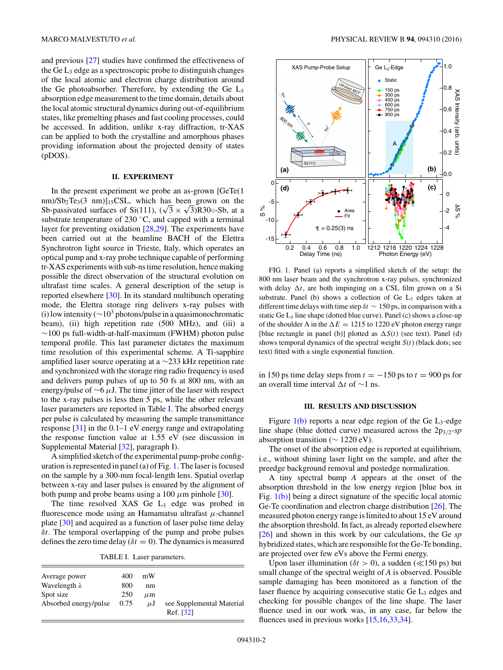<span id="page-1-0"></span>and previous [\[27\]](#page-4-0) studies have confirmed the effectiveness of the Ge  $L_3$  edge as a spectroscopic probe to distinguish changes of the local atomic and electron charge distribution around the Ge photoabsorber. Therefore, by extending the Ge  $L_3$ absorption edge measurement to the time domain, details about the local atomic structural dynamics during out-of-equilibrium states, like premelting phases and fast cooling processes, could be accessed. In addition, unlike x-ray diffraction, tr-XAS can be applied to both the crystalline and amorphous phases providing information about the projected density of states (pDOS).

## **II. EXPERIMENT**

In the present experiment we probe an as-grown  $[GeTe(1)]$  $nm)/Sb_2Te_3(3 nm)]_15CSL$ , which has been grown on the Sb-passivated surfaces of Si(111),  $(\sqrt{3} \times \sqrt{3})R30\degree$ -Sb, at a substrate temperature of  $230 °C$ , and capped with a terminal layer for preventing oxidation [\[28,29\]](#page-4-0). The experiments have been carried out at the beamline BACH of the Elettra Synchrotron light source in Trieste, Italy, which operates an optical pump and x-ray probe technique capable of performing tr-XAS experiments with sub-ns time resolution, hence making possible the direct observation of the structural evolution on ultrafast time scales. A general description of the setup is reported elsewhere [\[30\]](#page-4-0). In its standard multibunch operating mode, the Elettra storage ring delivers x-ray pulses with (i) low intensity ( $\sim$ 10<sup>3</sup> photons/pulse in a quasimonochromatic beam), (ii) high repetition rate (500 MHz), and (iii) a ∼100 ps full-width-at-half-maximum (FWHM) photon pulse temporal profile. This last parameter dictates the maximum time resolution of this experimental scheme. A Ti-sapphire amplified laser source operating at a ∼233 kHz repetition rate and synchronized with the storage ring radio frequency is used and delivers pump pulses of up to 50 fs at 800 nm, with an energy/pulse of ∼6 *μ*J. The time jitter of the laser with respect to the x-ray pulses is less then 5 ps, while the other relevant laser parameters are reported in Table I. The absorbed energy per pulse is calculated by measuring the sample transmittance response  $[31]$  in the 0.1–1 eV energy range and extrapolating the response function value at 1.55 eV (see discussion in Supplemental Material [\[32\]](#page-4-0), paragraph I).

A simplified sketch of the experimental pump-probe configuration is represented in panel (a) of Fig. 1. The laser is focused on the sample by a 300-mm focal-length lens. Spatial overlap between x-ray and laser pulses is ensured by the alignment of both pump and probe beams using a 100  $\mu$ m pinhole [\[30\]](#page-4-0).

The time resolved XAS Ge  $L_3$  edge was probed in fluorescence mode using an Hamamatsu ultrafast *μ*-channel plate [\[30\]](#page-4-0) and acquired as a function of laser pulse time delay *δt*. The temporal overlapping of the pump and probe pulses defines the zero time delay ( $\delta t = 0$ ). The dynamics is measured

|  | TABLE I. Laser parameters. |
|--|----------------------------|
|--|----------------------------|

| Average power         | 400  | mW      |                                        |
|-----------------------|------|---------|----------------------------------------|
| Wavelength $\lambda$  | 800  | nm      |                                        |
| Spot size             | 250  | $\mu$ m |                                        |
| Absorbed energy/pulse | 0.75 | $\mu$ J | see Supplemental Material<br>Ref. [32] |



FIG. 1. Panel (a) reports a simplified sketch of the setup: the 800 nm laser beam and the synchrotron x-ray pulses, synchronized with delay  $\Delta t$ , are both impinging on a CSL film grown on a Si substrate. Panel (b) shows a collection of Ge  $L_3$  edges taken at different time delays with time step  $\delta t \sim 150$  ps, in comparison with a static Ge  $L_3$  line shape (dotted blue curve). Panel (c) shows a close-up of the shoulder A in the  $\Delta E = 1215$  to 1220 eV photon energy range [blue rectangle in panel (b)] plotted as  $\Delta S(t)$  (see text). Panel (d) shows temporal dynamics of the spectral weight *S*(*t*) (black dots; see text) fitted with a single exponential function.

in 150 ps time delay steps from  $t = -150$  ps to  $t = 900$  ps for an overall time interval  $\Delta t$  of ∼1 ns.

### **III. RESULTS AND DISCUSSION**

Figure  $1(b)$  reports a near edge region of the Ge  $L_3$ -edge line shape (blue dotted curve) measured across the 2p3*/*2-*sp* absorption transition ( $\sim$  1220 eV).

The onset of the absorption edge is reported at equilibrium, i.e., without shining laser light on the sample, and after the preedge background removal and postedge normalization.

A tiny spectral bump *A* appears at the onset of the absorption threshold in the low energy region [blue box in Fig. 1(b)] being a direct signature of the specific local atomic Ge-Te coordination and electron charge distribution [\[26\]](#page-4-0). The measured photon energy range is limited to about 15 eV around the absorption threshold. In fact, as already reported elsewhere [\[26\]](#page-4-0) and shown in this work by our calculations, the Ge *sp* hybridized states, which are responsible for the Ge-Te bonding, are projected over few eVs above the Fermi energy.

Upon laser illumination ( $\delta t > 0$ ), a sudden ( $\ll$ 150 ps) but small change of the spectral weight of *A* is observed. Possible sample damaging has been monitored as a function of the laser fluence by acquiring consecutive static Ge  $L_3$  edges and checking for possible changes of the line shape. The laser fluence used in our work was, in any case, far below the fluences used in previous works [\[15,16,33,34\]](#page-4-0).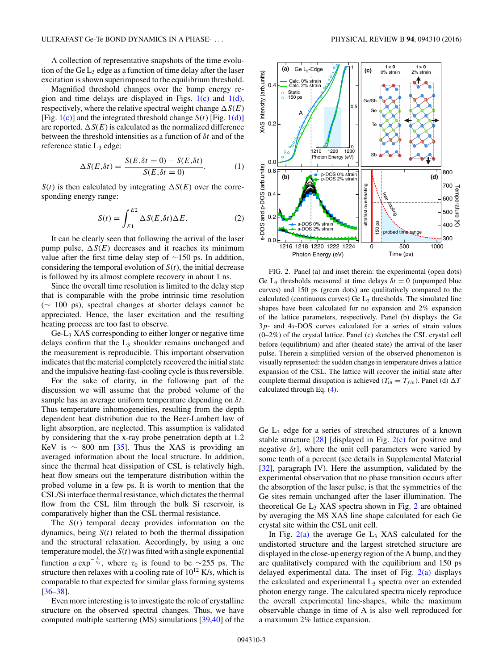<span id="page-2-0"></span>A collection of representative snapshots of the time evolution of the Ge  $L_3$  edge as a function of time delay after the laser excitation is shown superimposed to the equilibrium threshold.

Magnified threshold changes over the bump energy region and time delays are displayed in Figs.  $1(c)$  and  $1(d)$ , respectively, where the relative spectral weight change  $\Delta S(E)$ [Fig. [1\(c\)\]](#page-1-0) and the integrated threshold change *S*(*t*) [Fig. [1\(d\)\]](#page-1-0) are reported.  $\Delta S(E)$  is calculated as the normalized difference between the threshold intensities as a function of *δt* and of the reference static  $L_3$  edge:

$$
\Delta S(E,\delta t) = \frac{S(E,\delta t = 0) - S(E,\delta t)}{S(E,\delta t = 0)}.
$$
 (1)

 $S(t)$  is then calculated by integrating  $\Delta S(E)$  over the corresponding energy range:

$$
S(t) = \int_{E1}^{E2} \Delta S(E, \delta t) \Delta E.
$$
 (2)

It can be clearly seen that following the arrival of the laser pump pulse,  $\Delta S(E)$  decreases and it reaches its minimum value after the first time delay step of ∼150 ps. In addition, considering the temporal evolution of *S*(*t*), the initial decrease is followed by its almost complete recovery in about 1 ns.

Since the overall time resolution is limited to the delay step that is comparable with the probe intrinsic time resolution (∼ 100 ps), spectral changes at shorter delays cannot be appreciated. Hence, the laser excitation and the resulting heating process are too fast to observe.

Ge-L3 XAS corresponding to either longer or negative time delays confirm that the  $L_3$  shoulder remains unchanged and the measurement is reproducible. This important observation indicates that the material completely recovered the initial state and the impulsive heating-fast-cooling cycle is thus reversible.

For the sake of clarity, in the following part of the discussion we will assume that the probed volume of the sample has an average uniform temperature depending on *δt*. Thus temperature inhomogeneities, resulting from the depth dependent heat distribution due to the Beer-Lambert law of light absorption, are neglected. This assumption is validated by considering that the x-ray probe penetration depth at 1.2 KeV is  $\sim$  800 nm [\[35\]](#page-4-0). Thus the XAS is providing an averaged information about the local structure. In addition, since the thermal heat dissipation of CSL is relatively high, heat flow smears out the temperature distribution within the probed volume in a few ps. It is worth to mention that the CSL/Si interface thermal resistance, which dictates the thermal flow from the CSL film through the bulk Si reservoir, is comparatively higher than the CSL thermal resistance.

The *S*(*t*) temporal decay provides information on the dynamics, being *S*(*t*) related to both the thermal dissipation and the structural relaxation. Accordingly, by using a one temperature model, the  $S(t)$  was fitted with a single exponential function  $a \exp^{-t \over t_0}$ , where  $\tau_0$  is found to be ∼255 ps. The structure then relaxes with a cooling rate of  $10^{12}$  K/s, which is comparable to that expected for similar glass forming systems [\[36–38\]](#page-4-0).

Even more interesting is to investigate the role of crystalline structure on the observed spectral changes. Thus, we have computed multiple scattering (MS) simulations [\[39,40\]](#page-4-0) of the



FIG. 2. Panel (a) and inset therein: the experimental (open dots) Ge  $L_3$  thresholds measured at time delays  $\delta t = 0$  (unpumped blue curves) and 150 ps (green dots) are qualitatively compared to the calculated (continuous curves) Ge  $L_3$  thresholds. The simulated line shapes have been calculated for no expansion and 2% expansion of the lattice parameters, respectively. Panel (b) displays the Ge 3*p*- and 4*s*-DOS curves calculated for a series of strain values (0–2%) of the crystal lattice. Panel (c) sketches the CSL crystal cell before (equilibrium) and after (heated state) the arrival of the laser pulse. Therein a simplified version of the observed phenomenon is visually represented: the sudden change in temperature drives a lattice expansion of the CSL. The lattice will recover the initial state after complete thermal dissipation is achieved ( $T_{in} = T_{fin}$ ). Panel (d)  $\Delta T$ calculated through Eq. [\(4\)](#page-3-0).

Ge  $L_3$  edge for a series of stretched structures of a known stable structure  $[28]$  [displayed in Fig. 2(c) for positive and negative *δt*], where the unit cell parameters were varied by some tenth of a percent (see details in Supplemental Material [\[32\]](#page-4-0), paragraph IV). Here the assumption, validated by the experimental observation that no phase transition occurs after the absorption of the laser pulse, is that the symmetries of the Ge sites remain unchanged after the laser illumination. The theoretical Ge  $L_3$  XAS spectra shown in Fig. 2 are obtained by averaging the MS XAS line shape calculated for each Ge crystal site within the CSL unit cell.

In Fig.  $2(a)$  the average Ge  $L_3$  XAS calculated for the undistorted structure and the largest stretched structure are displayed in the close-up energy region of the A bump, and they are qualitatively compared with the equilibrium and 150 ps delayed experimental data. The inset of Fig. 2(a) displays the calculated and experimental  $L_3$  spectra over an extended photon energy range. The calculated spectra nicely reproduce the overall experimental line-shapes, while the maximum observable change in time of A is also well reproduced for a maximum 2% lattice expansion.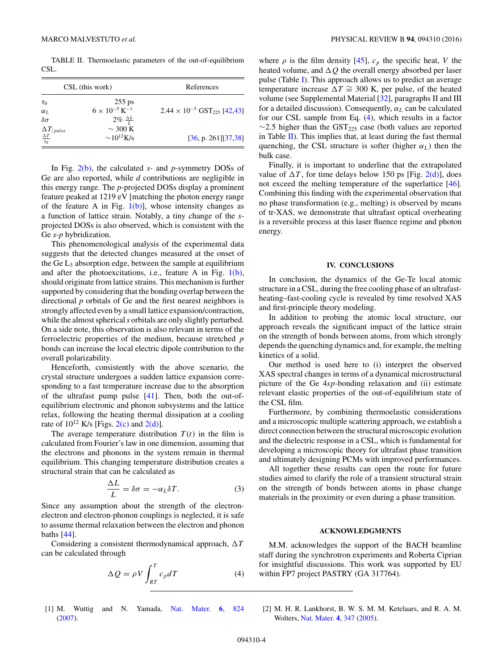<span id="page-3-0"></span>TABLE II. Thermoelastic parameters of the out-of-equilibrium CSL.

|                                                     | CSL (this work)                                                            | References                                       |
|-----------------------------------------------------|----------------------------------------------------------------------------|--------------------------------------------------|
| $\tau_0$<br>$\alpha_L$<br>$\delta \sigma$           | $255$ ps<br>$6 \times 10^{-5}$ K <sup>-1</sup><br>$2\%~\frac{\Delta L}{L}$ | $2.44 \times 10^{-5}$ GST <sub>225</sub> [42,43] |
| $\frac{\Delta T_{/pulse}}{\frac{\Delta T}{\tau_0}}$ | $\sim$ 300 K<br>$\sim 10^{12}$ K/s                                         | [36, p. 261][37,38]                              |

In Fig. [2\(b\),](#page-2-0) the calculated *s-* and *p-*symmetry DOSs of Ge are also reported, while *d* contributions are negligible in this energy range. The *p-*projected DOSs display a prominent feature peaked at 1219 eV [matching the photon energy range of the feature A in Fig.  $1(b)$ ], whose intensity changes as a function of lattice strain. Notably, a tiny change of the *s*projected DOSs is also observed, which is consistent with the Ge *s-p* hybridization.

This phenomenological analysis of the experimental data suggests that the detected changes measured at the onset of the Ge  $L_3$  absorption edge, between the sample at equilibrium and after the photoexcitations, i.e., feature A in Fig. [1\(b\),](#page-1-0) should originate from lattice strains. This mechanism is further supported by considering that the bonding overlap between the directional *p* orbitals of Ge and the first nearest neighbors is strongly affected even by a small lattice expansion/contraction, while the almost spherical*s* orbitals are only slightly perturbed. On a side note, this observation is also relevant in terms of the ferroelectric properties of the medium, because stretched *p* bonds can increase the local electric dipole contribution to the overall polarizability.

Henceforth, consistently with the above scenario, the crystal structure undergoes a sudden lattice expansion corresponding to a fast temperature increase due to the absorption of the ultrafast pump pulse [\[41\]](#page-4-0). Then, both the out-ofequilibrium electronic and phonon subsystems and the lattice relax, following the heating thermal dissipation at a cooling rate of  $10^{12}$  K/s [Figs.  $2(c)$  and  $2(d)$ ].

The average temperature distribution  $T(t)$  in the film is calculated from Fourier's law in one dimension, assuming that the electrons and phonons in the system remain in thermal equilibrium. This changing temperature distribution creates a structural strain that can be calculated as

$$
\frac{\Delta L}{L} = \delta \sigma = -\alpha_L \delta T.
$$
 (3)

Since any assumption about the strength of the electronelectron and electron-phonon couplings is neglected, it is safe to assume thermal relaxation between the electron and phonon baths [\[44\]](#page-4-0).

Considering a consistent thermodynamical approach,  $\Delta T$ can be calculated through

$$
\Delta Q = \rho V \int_{RT}^{T} c_p dT \tag{4}
$$

[1] M. Wuttig and N. Yamada, [Nat. Mater.](http://dx.doi.org/10.1038/nmat2009) **[6](http://dx.doi.org/10.1038/nmat2009)**, [824](http://dx.doi.org/10.1038/nmat2009) [\(2007\)](http://dx.doi.org/10.1038/nmat2009).

where  $\rho$  is the film density [\[45\]](#page-4-0),  $c_p$  the specific heat, *V* the heated volume, and  $\Delta Q$  the overall energy absorbed per laser pulse (Table [I\)](#page-1-0). This approach allows us to predict an average temperature increase  $\Delta T \cong 300$  K, per pulse, of the heated volume (see Supplemental Material [\[32\]](#page-4-0), paragraphs II and III for a detailed discussion). Consequently,  $\alpha_L$  can be calculated for our CSL sample from Eq. (4), which results in a factor  $\sim$ 2.5 higher than the GST<sub>225</sub> case (both values are reported in Table II). This implies that, at least during the fast thermal quenching, the CSL structure is softer (higher  $\alpha_L$ ) then the bulk case.

Finally, it is important to underline that the extrapolated value of  $\Delta T$ , for time delays below 150 ps [Fig. [2\(d\)\]](#page-2-0), does not exceed the melting temperature of the superlattice [\[46\]](#page-4-0). Combining this finding with the experimental observation that no phase transformation (e.g., melting) is observed by means of tr-XAS, we demonstrate that ultrafast optical overheating is a reversible process at this laser fluence regime and photon energy.

#### **IV. CONCLUSIONS**

In conclusion, the dynamics of the Ge-Te local atomic structure in a CSL, during the free cooling phase of an ultrafastheating–fast-cooling cycle is revealed by time resolved XAS and first-principle theory modeling.

In addition to probing the atomic local structure, our approach reveals the significant impact of the lattice strain on the strength of bonds between atoms, from which strongly depends the quenching dynamics and, for example, the melting kinetics of a solid.

Our method is used here to (i) interpret the observed XAS spectral changes in terms of a dynamical microstructural picture of the Ge 4*sp*-bonding relaxation and (ii) estimate relevant elastic properties of the out-of-equilibrium state of the CSL film.

Furthermore, by combining thermoelastic considerations and a microscopic multiple scattering approach, we establish a direct connection between the structural microscopic evolution and the dielectric response in a CSL, which is fundamental for developing a microscopic theory for ultrafast phase transition and ultimately designing PCMs with improved performances.

All together these results can open the route for future studies aimed to clarify the role of a transient structural strain on the strength of bonds between atoms in phase change materials in the proximity or even during a phase transition.

#### **ACKNOWLEDGMENTS**

M.M. acknowledges the support of the BACH beamline staff during the synchrotron experiments and Roberta Ciprian for insightful discussions. This work was supported by EU within FP7 project PASTRY (GA 317764).

[2] M. H. R. Lankhorst, B. W. S. M. M. Ketelaars, and R. A. M. Wolters, [Nat. Mater.](http://dx.doi.org/10.1038/nmat1350) **[4](http://dx.doi.org/10.1038/nmat1350)**, [347](http://dx.doi.org/10.1038/nmat1350) [\(2005\)](http://dx.doi.org/10.1038/nmat1350).